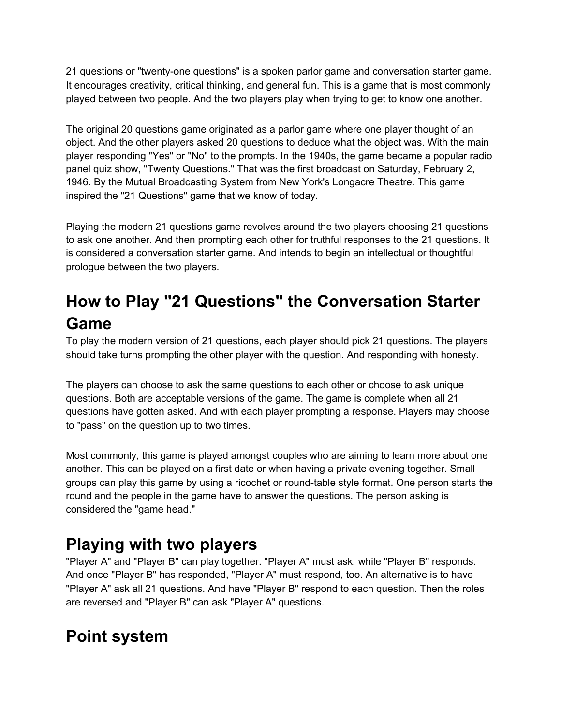21 questions or "twenty-one questions" is a spoken [parlor](https://www.mentalfloss.com/article/88659/14-parlor-games-bring-back-holiday-season-plus-one-you-definitely-shouldnt) game and conversation starter game. It encourages creativity, critical thinking, and general fun. This is a game that is most commonly played between two people. And the two players play when trying to get to know one [another.](https://www.healthline.com/health/how-to-get-to-know-someone)

The original 20 [questions](https://party-games.wonderhowto.com/how-to/play-game-20-questions-350991/) game originated as a parlor game where one player thought of an object. And the other players asked 20 questions to deduce what the object was. With the main player responding "Yes" or "No" to the prompts. In the 1940s, the game became a popular radio panel quiz show, "Twenty [Questions.](https://en.wikipedia.org/wiki/Twenty_Questions)" That was the first broadcast on Saturday, February 2, 1946. By the Mutual Broadcasting System from New York's Longacre Theatre. This game inspired the "21 Questions" game that we know of today.

Playing the modern 21 questions game revolves around the two players choosing 21 questions to ask one another. And then prompting each other for truthful responses to the 21 questions. It is considered a [conversation](https://www.urbandictionary.com/define.php?term=Conversation%20Starter) starter game. And intends to begin an intellectual or thoughtful prologue between the two players.

# **How to Play "21 Questions" the Conversation Starter Game**

To play the modern version of 21 questions, each player should pick 21 questions. The players should take turns prompting the other player with the question. And responding with honesty.

The players can choose to ask the same [questions](https://icebreakerquestions.info/this-or-that/) to each other or choose to ask unique questions. Both are acceptable versions of the game. The game is complete when all 21 questions have gotten asked. And with each player prompting a response. Players may choose to "pass" on the question up to two times.

Most commonly, this game is played amongst couples who are aiming to learn more about one another. This can be played on a first date or when having a private evening together. Small groups can play this game by using a ricochet or round-table style format. One person starts the round and the people in the game have to answer the questions. The person asking is considered the "game head."

# **Playing with two players**

"Player A" and "Player B" can play together. "Player A" must ask, while "Player B" responds. And once "Player B" has responded, "Player A" must respond, too. An alternative is to have "Player A" ask all 21 questions. And have "Player B" respond to each question. Then the roles are reversed and "Player B" can ask "Player A" questions.

# **Point system**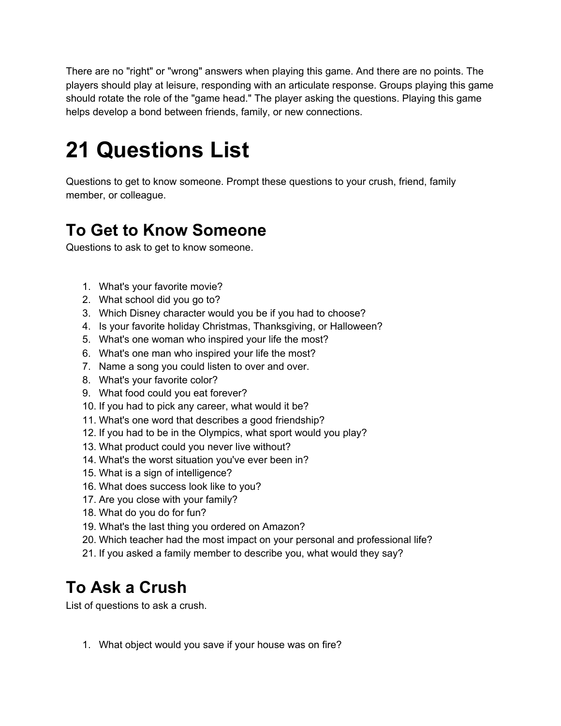There are no "right" or "wrong" answers when playing this game. And there are no points. The players should play at leisure, responding with an articulate response. Groups playing this game should rotate the role of the "game head." The player asking the questions. Playing this game helps develop a bond between friends, family, or new connections.

# **21 Questions List**

Questions to get to know someone. Prompt these questions to your crush, friend, family member, or colleague.

# **To Get to Know Someone**

Questions to ask to get to know someone.

- 1. What's your favorite movie?
- 2. What school did you go to?
- 3. Which Disney character would you be if you had to choose?
- 4. Is your favorite holiday Christmas, Thanksgiving, or Halloween?
- 5. What's one woman who inspired your life the most?
- 6. What's one man who inspired your life the most?
- 7. Name a song you could listen to over and over.
- 8. What's your favorite color?
- 9. What food could you eat forever?
- 10. If you had to pick any career, what would it be?
- 11. What's one word that describes a good friendship?
- 12. If you had to be in the Olympics, what sport would you play?
- 13. What product could you never live without?
- 14. What's the worst situation you've ever been in?
- 15. What is a sign of intelligence?
- 16. What does success look like to you?
- 17. Are you close with your family?
- 18. What do you do for fun?
- 19. What's the last thing you ordered on Amazon?
- 20. Which teacher had the most impact on your personal and professional life?
- 21. If you asked a family member to describe you, what would they say?

# **To Ask a Crush**

List of questions to ask a crush.

1. What object would you save if your house was on fire?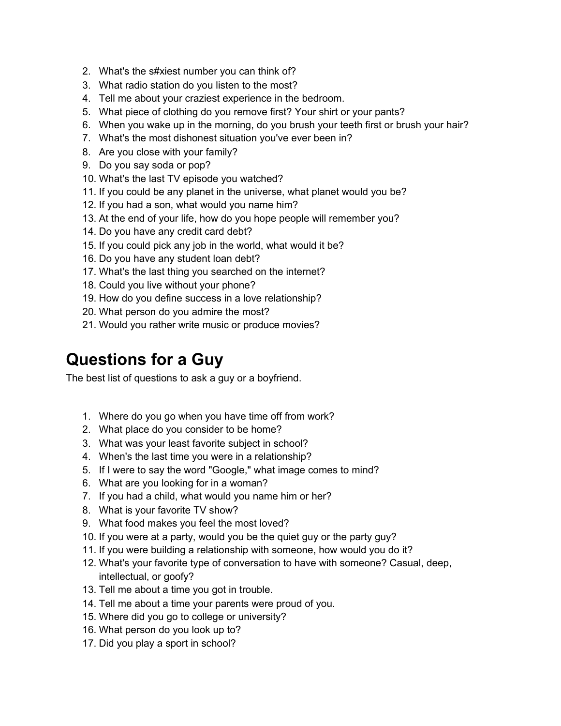- 2. What's the s#xiest number you can think of?
- 3. What radio station do you listen to the most?
- 4. Tell me about your craziest experience in the bedroom.
- 5. What piece of clothing do you remove first? Your shirt or your pants?
- 6. When you wake up in the morning, do you brush your teeth first or brush your hair?
- 7. What's the most dishonest situation you've ever been in?
- 8. Are you close with your family?
- 9. Do you say soda or pop?
- 10. What's the last TV episode you watched?
- 11. If you could be any planet in the universe, what planet would you be?
- 12. If you had a son, what would you name him?
- 13. At the end of your life, how do you hope people will remember you?
- 14. Do you have any credit card debt?
- 15. If you could pick any job in the world, what would it be?
- 16. Do you have any student loan debt?
- 17. What's the last thing you searched on the internet?
- 18. Could you live without your phone?
- 19. How do you define success in a love relationship?
- 20. What person do you admire the most?
- 21. Would you rather write music or produce movies?

#### **Questions for a Guy**

The best list of questions to ask a guy or a boyfriend.

- 1. Where do you go when you have time off from work?
- 2. What place do you consider to be home?
- 3. What was your least favorite subject in school?
- 4. When's the last time you were in a relationship?
- 5. If I were to say the word "Google," what image comes to mind?
- 6. What are you looking for in a woman?
- 7. If you had a child, what would you name him or her?
- 8. What is your favorite TV show?
- 9. What food makes you feel the most loved?
- 10. If you were at a party, would you be the quiet guy or the party guy?
- 11. If you were building a relationship with someone, how would you do it?
- 12. What's your favorite type of conversation to have with someone? Casual, deep, intellectual, or goofy?
- 13. Tell me about a time you got in trouble.
- 14. Tell me about a time your parents were proud of you.
- 15. Where did you go to college or university?
- 16. What person do you look up to?
- 17. Did you play a sport in school?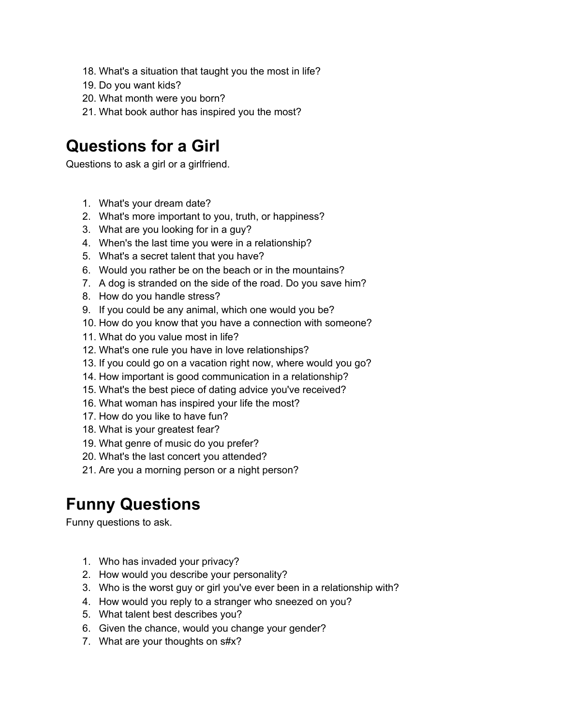- 18. What's a situation that taught you the most in life?
- 19. Do you want kids?
- 20. What month were you born?
- 21. What book author has inspired you the most?

#### **Questions for a Girl**

Questions to ask a girl or a girlfriend.

- 1. What's your dream date?
- 2. What's more important to you, truth, or happiness?
- 3. What are you looking for in a guy?
- 4. When's the last time you were in a relationship?
- 5. What's a secret talent that you have?
- 6. Would you rather be on the beach or in the mountains?
- 7. A dog is stranded on the side of the road. Do you save him?
- 8. How do you handle stress?
- 9. If you could be any animal, which one would you be?
- 10. How do you know that you have a connection with someone?
- 11. What do you value most in life?
- 12. What's one rule you have in love relationships?
- 13. If you could go on a vacation right now, where would you go?
- 14. How important is good communication in a relationship?
- 15. What's the best piece of dating advice you've received?
- 16. What woman has inspired your life the most?
- 17. How do you like to have fun?
- 18. What is your greatest fear?
- 19. What genre of music do you prefer?
- 20. What's the last concert you attended?
- 21. Are you a morning person or a night person?

# **Funny Questions**

Funny questions to ask.

- 1. Who has invaded your privacy?
- 2. How would you describe your personality?
- 3. Who is the worst guy or girl you've ever been in a relationship with?
- 4. How would you reply to a stranger who sneezed on you?
- 5. What talent best describes you?
- 6. Given the chance, would you change your gender?
- 7. What are your thoughts on s#x?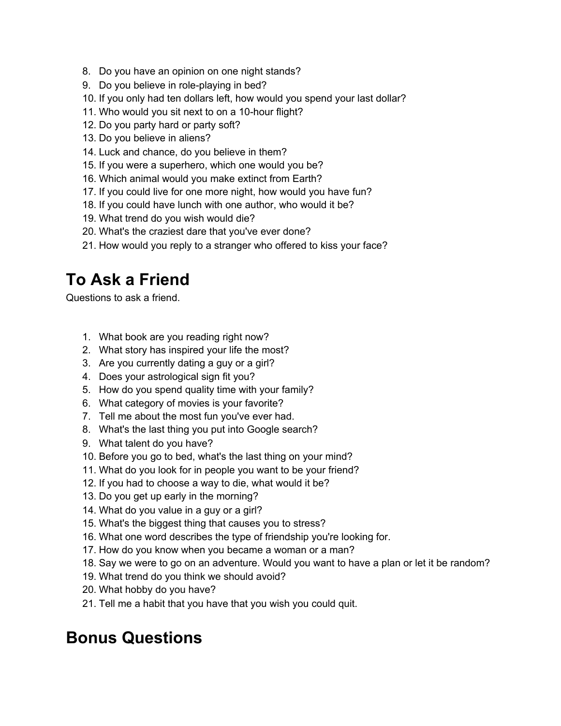- 8. Do you have an opinion on one night stands?
- 9. Do you believe in role-playing in bed?
- 10. If you only had ten dollars left, how would you spend your last dollar?
- 11. Who would you sit next to on a 10-hour flight?
- 12. Do you party hard or party soft?
- 13. Do you believe in aliens?
- 14. Luck and chance, do you believe in them?
- 15. If you were a superhero, which one would you be?
- 16. Which animal would you make extinct from Earth?
- 17. If you could live for one more night, how would you have fun?
- 18. If you could have lunch with one author, who would it be?
- 19. What trend do you wish would die?
- 20. What's the craziest dare that you've ever done?
- 21. How would you reply to a stranger who offered to kiss your face?

### **To Ask a Friend**

Questions to ask a friend.

- 1. What book are you reading right now?
- 2. What story has inspired your life the most?
- 3. Are you currently dating a guy or a girl?
- 4. Does your astrological sign fit you?
- 5. How do you spend quality time with your family?
- 6. What category of movies is your favorite?
- 7. Tell me about the most fun you've ever had.
- 8. What's the last thing you put into Google search?
- 9. What talent do you have?
- 10. Before you go to bed, what's the last thing on your mind?
- 11. What do you look for in people you want to be your friend?
- 12. If you had to choose a way to die, what would it be?
- 13. Do you get up early in the morning?
- 14. What do you value in a guy or a girl?
- 15. What's the biggest thing that causes you to stress?
- 16. What one word describes the type of friendship you're looking for.
- 17. How do you know when you became a woman or a man?
- 18. Say we were to go on an adventure. Would you want to have a plan or let it be random?
- 19. What trend do you think we should avoid?
- 20. What hobby do you have?
- 21. Tell me a habit that you have that you wish you could quit.

# **Bonus Questions**